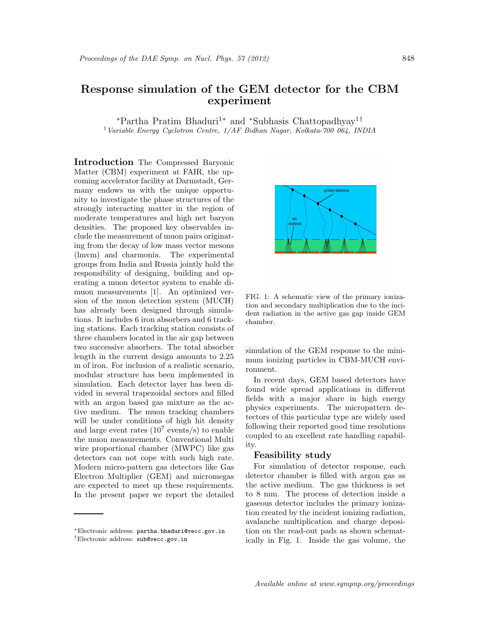## Response simulation of the GEM detector for the CBM experiment

<sup>∗</sup>Partha Pratim Bhaduri<sup>1</sup><sup>∗</sup> and <sup>∗</sup>Subhasis Chattopadhyay 1† <sup>1</sup> Variable Energy Cyclotron Centre,  $1/AF$  Bidhan Nagar, Kolkata-700 064, INDIA

Introduction The Compressed Baryonic Matter (CBM) experiment at FAIR, the upcoming accelerator facility at Darmstadt, Germany endows us with the unique opportunity to investigate the phase structures of the strongly interacting matter in the region of moderate temperatures and high net baryon densities. The proposed key observables include the measurement of muon pairs originating from the decay of low mass vector mesons (lmvm) and charmonia. The experimental groups from India and Russia jointly hold the responsibility of designing, building and operating a muon detector system to enable dimuon measurements [1]. An optimized version of the muon detection system (MUCH) has already been designed through simulations. It includes 6 iron absorbers and 6 tracking stations. Each tracking station consists of three chambers located in the air gap between two successive absorbers. The total absorber length in the current design amounts to 2.25 m of iron. For inclusion of a realistic scenario, modular structure has been implemented in simulation. Each detector layer has been divided in several trapezoidal sectors and filled with an argon based gas mixture as the active medium. The muon tracking chambers will be under conditions of high hit density and large event rates  $(10^7 \text{ events/s})$  to enable the muon measurements. Conventional Multi wire proportional chamber (MWPC) like gas detectors can not cope with such high rate. Modern micro-pattern gas detectors like Gas Electron Multiplier (GEM) and micromegas are expected to meet up these requirements. In the present paper we report the detailed



FIG. 1: A schematic view of the primary ionization and secondary multiplication due to the incident radiation in the active gas gap inside GEM chamber.

simulation of the GEM response to the minimum ionizing particles in CBM-MUCH environment.

In recent days, GEM based detectors have found wide spread applications in different fields with a major share in high energy physics experiments. The micropattern detectors of this particular type are widely used following their reported good time resolutions coupled to an excellent rate handling capability.

## Feasibility study

For simulation of detector response, each detector chamber is filled with argon gas as the active medium. The gas thickness is set to 8 mm. The process of detection inside a gaseous detector includes the primary ionization created by the incident ionizing radiation, avalanche multiplication and charge deposition on the read-out pads as shown schematically in Fig. 1. Inside the gas volume, the

<sup>∗</sup>Electronic address: partha.bhaduri@vecc.gov.in †Electronic address: sub@vecc.gov.in